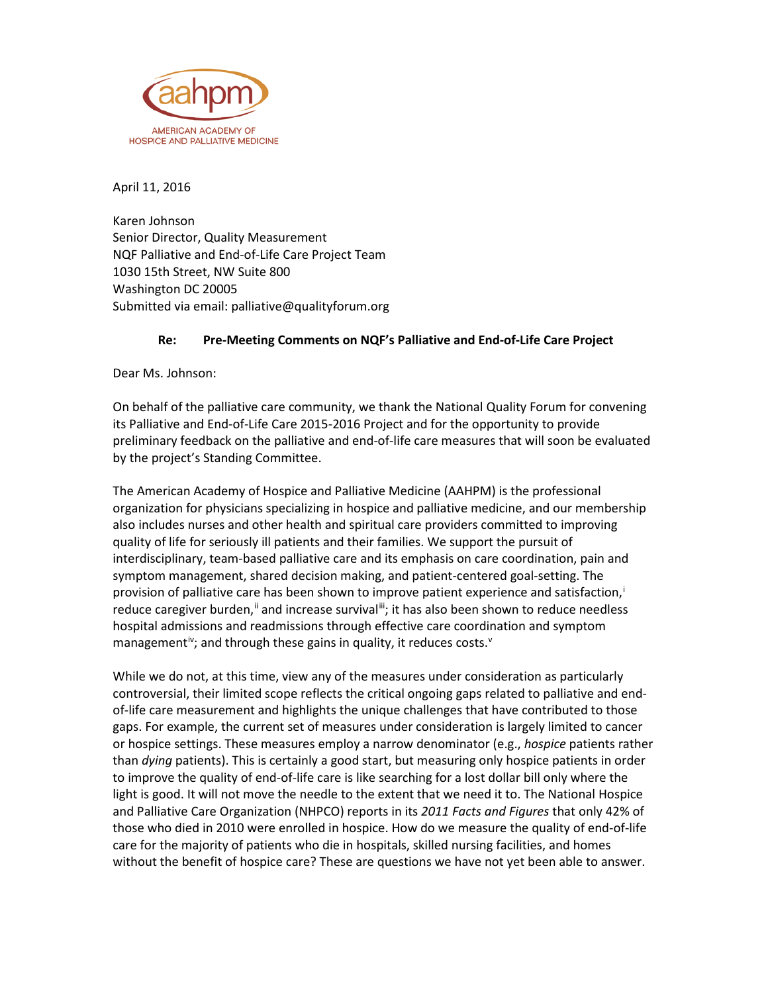

April 11, 2016

Karen Johnson Senior Director, Quality Measurement NQF Palliative and End-of-Life Care Project Team 1030 15th Street, NW Suite 800 Washington DC 20005 Submitted via email: palliative@qualityforum.org

## **Re: Pre-Meeting Comments on NQF's Palliative and End-of-Life Care Project**

Dear Ms. Johnson:

On behalf of the palliative care community, we thank the National Quality Forum for convening its Palliative and End-of-Life Care 2015-2016 Project and for the opportunity to provide preliminary feedback on the palliative and end-of-life care measures that will soon be evaluated by the project's Standing Committee.

The American Academy of Hospice and Palliative Medicine (AAHPM) is the professional organization for physicians specializing in hospice and palliative medicine, and our membership also includes nurses and other health and spiritual care providers committed to improving quality of life for seriously ill patients and their families. We support the pursuit of interdisciplinary, team-based palliative care and its emphasis on care coordination, pain and symptom management, shared decision making, and patient-centered goal-setting. The prov[i](#page-3-0)sion of palliative care has been shown to improve patient experience and satisfaction,<sup>i</sup> reduce caregiver burden,<sup>[ii](#page-3-1)</sup> and increase survival<sup>iii</sup>; it has also been shown to reduce needless hospital admissions and readmissions through effective care coordination and symptom management<sup>i[v](#page-3-4)</sup>; and through these gains in quality, it reduces costs.<sup>v</sup>

While we do not, at this time, view any of the measures under consideration as particularly controversial, their limited scope reflects the critical ongoing gaps related to palliative and endof-life care measurement and highlights the unique challenges that have contributed to those gaps. For example, the current set of measures under consideration is largely limited to cancer or hospice settings. These measures employ a narrow denominator (e.g., *hospice* patients rather than *dying* patients). This is certainly a good start, but measuring only hospice patients in order to improve the quality of end-of-life care is like searching for a lost dollar bill only where the light is good. It will not move the needle to the extent that we need it to. The National Hospice and Palliative Care Organization (NHPCO) reports in its *2011 Facts and Figures* that only 42% of those who died in 2010 were enrolled in hospice. How do we measure the quality of end-of-life care for the majority of patients who die in hospitals, skilled nursing facilities, and homes without the benefit of hospice care? These are questions we have not yet been able to answer.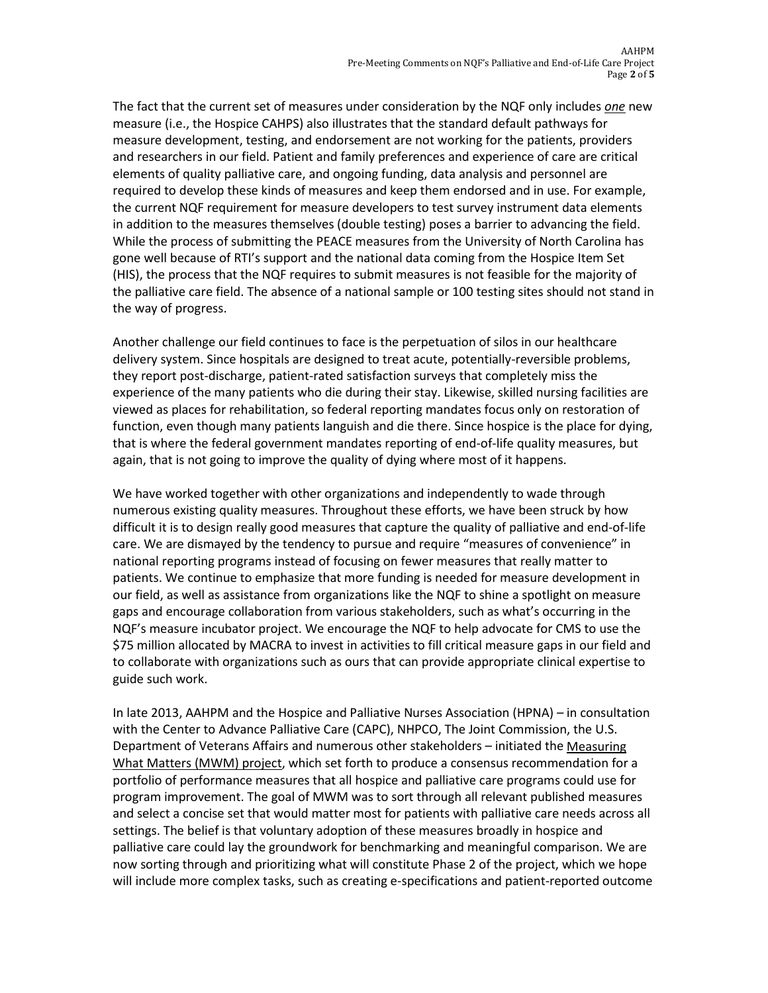The fact that the current set of measures under consideration by the NQF only includes *one* new measure (i.e., the Hospice CAHPS) also illustrates that the standard default pathways for measure development, testing, and endorsement are not working for the patients, providers and researchers in our field. Patient and family preferences and experience of care are critical elements of quality palliative care, and ongoing funding, data analysis and personnel are required to develop these kinds of measures and keep them endorsed and in use. For example, the current NQF requirement for measure developers to test survey instrument data elements in addition to the measures themselves (double testing) poses a barrier to advancing the field. While the process of submitting the PEACE measures from the University of North Carolina has gone well because of RTI's support and the national data coming from the Hospice Item Set (HIS), the process that the NQF requires to submit measures is not feasible for the majority of the palliative care field. The absence of a national sample or 100 testing sites should not stand in the way of progress.

Another challenge our field continues to face is the perpetuation of silos in our healthcare delivery system. Since hospitals are designed to treat acute, potentially-reversible problems, they report post-discharge, patient-rated satisfaction surveys that completely miss the experience of the many patients who die during their stay. Likewise, skilled nursing facilities are viewed as places for rehabilitation, so federal reporting mandates focus only on restoration of function, even though many patients languish and die there. Since hospice is the place for dying, that is where the federal government mandates reporting of end-of-life quality measures, but again, that is not going to improve the quality of dying where most of it happens.

We have worked together with other organizations and independently to wade through numerous existing quality measures. Throughout these efforts, we have been struck by how difficult it is to design really good measures that capture the quality of palliative and end-of-life care. We are dismayed by the tendency to pursue and require "measures of convenience" in national reporting programs instead of focusing on fewer measures that really matter to patients. We continue to emphasize that more funding is needed for measure development in our field, as well as assistance from organizations like the NQF to shine a spotlight on measure gaps and encourage collaboration from various stakeholders, such as what's occurring in the NQF's measure incubator project. We encourage the NQF to help advocate for CMS to use the \$75 million allocated by MACRA to invest in activities to fill critical measure gaps in our field and to collaborate with organizations such as ours that can provide appropriate clinical expertise to guide such work.

In late 2013, AAHPM and the Hospice and Palliative Nurses Association (HPNA) – in consultation with the Center to Advance Palliative Care (CAPC), NHPCO, The Joint Commission, the U.S. Department of Veterans Affairs and numerous other stakeholders – initiated the [Measuring](http://aahpm.org/quality/measuring-what-matters)  [What Matters \(MWM\) project,](http://aahpm.org/quality/measuring-what-matters) which set forth to produce a consensus recommendation for a portfolio of performance measures that all hospice and palliative care programs could use for program improvement. The goal of MWM was to sort through all relevant published measures and select a concise set that would matter most for patients with palliative care needs across all settings. The belief is that voluntary adoption of these measures broadly in hospice and palliative care could lay the groundwork for benchmarking and meaningful comparison. We are now sorting through and prioritizing what will constitute Phase 2 of the project, which we hope will include more complex tasks, such as creating e-specifications and patient-reported outcome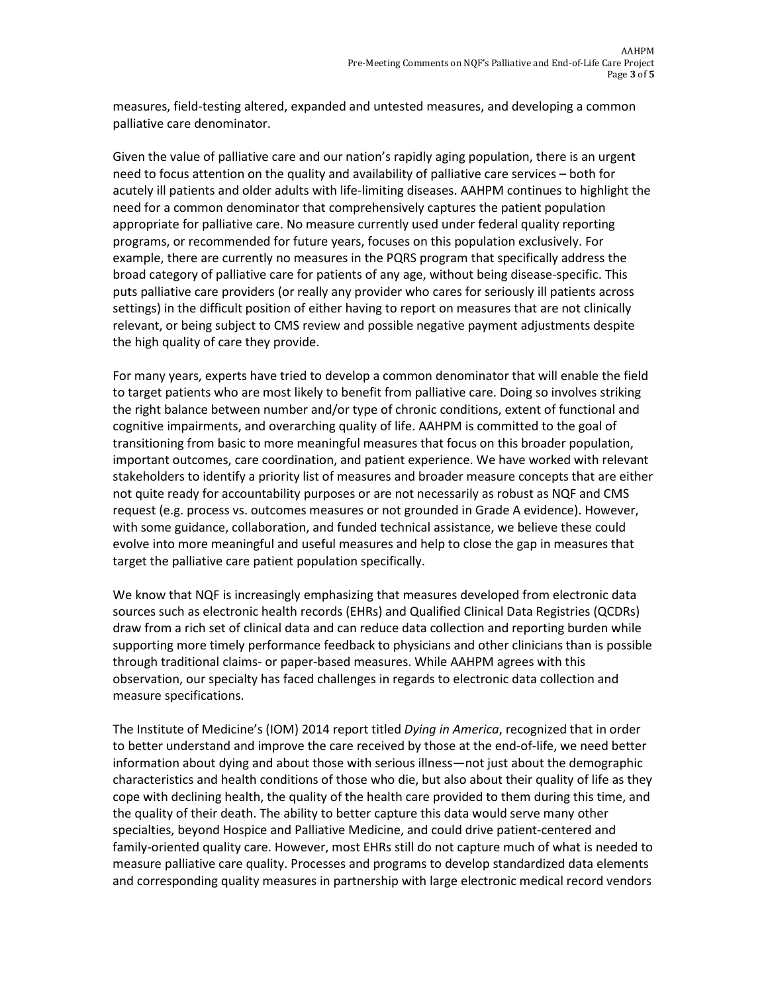measures, field-testing altered, expanded and untested measures, and developing a common palliative care denominator.

Given the value of palliative care and our nation's rapidly aging population, there is an urgent need to focus attention on the quality and availability of palliative care services – both for acutely ill patients and older adults with life-limiting diseases. AAHPM continues to highlight the need for a common denominator that comprehensively captures the patient population appropriate for palliative care. No measure currently used under federal quality reporting programs, or recommended for future years, focuses on this population exclusively. For example, there are currently no measures in the PQRS program that specifically address the broad category of palliative care for patients of any age, without being disease-specific. This puts palliative care providers (or really any provider who cares for seriously ill patients across settings) in the difficult position of either having to report on measures that are not clinically relevant, or being subject to CMS review and possible negative payment adjustments despite the high quality of care they provide.

For many years, experts have tried to develop a common denominator that will enable the field to target patients who are most likely to benefit from palliative care. Doing so involves striking the right balance between number and/or type of chronic conditions, extent of functional and cognitive impairments, and overarching quality of life. AAHPM is committed to the goal of transitioning from basic to more meaningful measures that focus on this broader population, important outcomes, care coordination, and patient experience. We have worked with relevant stakeholders to identify a priority list of measures and broader measure concepts that are either not quite ready for accountability purposes or are not necessarily as robust as NQF and CMS request (e.g. process vs. outcomes measures or not grounded in Grade A evidence). However, with some guidance, collaboration, and funded technical assistance, we believe these could evolve into more meaningful and useful measures and help to close the gap in measures that target the palliative care patient population specifically.

We know that NQF is increasingly emphasizing that measures developed from electronic data sources such as electronic health records (EHRs) and Qualified Clinical Data Registries (QCDRs) draw from a rich set of clinical data and can reduce data collection and reporting burden while supporting more timely performance feedback to physicians and other clinicians than is possible through traditional claims- or paper-based measures. While AAHPM agrees with this observation, our specialty has faced challenges in regards to electronic data collection and measure specifications.

The Institute of Medicine's (IOM) 2014 report titled *Dying in America*, recognized that in order to better understand and improve the care received by those at the end-of-life, we need better information about dying and about those with serious illness—not just about the demographic characteristics and health conditions of those who die, but also about their quality of life as they cope with declining health, the quality of the health care provided to them during this time, and the quality of their death. The ability to better capture this data would serve many other specialties, beyond Hospice and Palliative Medicine, and could drive patient-centered and family-oriented quality care. However, most EHRs still do not capture much of what is needed to measure palliative care quality. Processes and programs to develop standardized data elements and corresponding quality measures in partnership with large electronic medical record vendors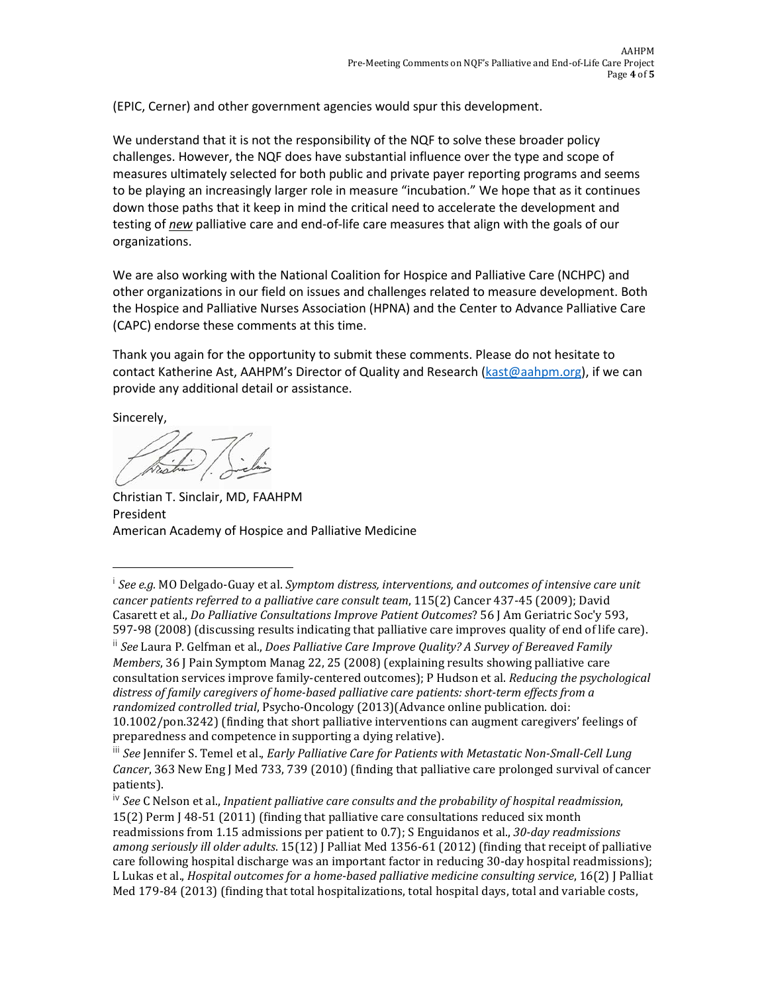(EPIC, Cerner) and other government agencies would spur this development.

<span id="page-3-4"></span>We understand that it is not the responsibility of the NQF to solve these broader policy challenges. However, the NQF does have substantial influence over the type and scope of measures ultimately selected for both public and private payer reporting programs and seems to be playing an increasingly larger role in measure "incubation." We hope that as it continues down those paths that it keep in mind the critical need to accelerate the development and testing of *new* palliative care and end-of-life care measures that align with the goals of our organizations.

We are also working with the National Coalition for Hospice and Palliative Care (NCHPC) and other organizations in our field on issues and challenges related to measure development. Both the Hospice and Palliative Nurses Association (HPNA) and the Center to Advance Palliative Care (CAPC) endorse these comments at this time.

Thank you again for the opportunity to submit these comments. Please do not hesitate to contact Katherine Ast, AAHPM's Director of Quality and Research [\(kast@aahpm.org\)](mailto:kast@aahpm.org), if we can provide any additional detail or assistance.

Sincerely,

Christian T. Sinclair, MD, FAAHPM President American Academy of Hospice and Palliative Medicine

<span id="page-3-1"></span>ii *See* Laura P. Gelfman et al., *Does Palliative Care Improve Quality? A Survey of Bereaved Family Members*, 36 J Pain Symptom Manag 22, 25 (2008) (explaining results showing palliative care consultation services improve family-centered outcomes); P Hudson et al. *Reducing the psychological distress of family caregivers of home-based palliative care patients: short-term effects from a randomized controlled trial*, Psycho-Oncology (2013)(Advance online publication. doi:

<span id="page-3-0"></span><sup>i</sup> *See e.g.* MO Delgado-Guay et al. *Symptom distress, interventions, and outcomes of intensive care unit cancer patients referred to a palliative care consult team*, 115(2) Cancer 437-45 (2009); David Casarett et al., *Do Palliative Consultations Improve Patient Outcomes*? 56 J Am Geriatric Soc'y 593, 597-98 (2008) (discussing results indicating that palliative care improves quality of end of life care). I

<sup>10.1002/</sup>pon.3242) (finding that short palliative interventions can augment caregivers' feelings of preparedness and competence in supporting a dying relative).

<span id="page-3-2"></span>iii *See* Jennifer S. Temel et al., *Early Palliative Care for Patients with Metastatic Non-Small-Cell Lung Cancer*, 363 New Eng J Med 733, 739 (2010) (finding that palliative care prolonged survival of cancer patients).

<span id="page-3-3"></span>iv *See* C Nelson et al., *Inpatient palliative care consults and the probability of hospital readmission*, 15(2) Perm J 48-51 (2011) (finding that palliative care consultations reduced six month readmissions from 1.15 admissions per patient to 0.7); S Enguidanos et al., *30-day readmissions among seriously ill older adults*. 15(12) J Palliat Med 1356-61 (2012) (finding that receipt of palliative care following hospital discharge was an important factor in reducing 30-day hospital readmissions); L Lukas et al., *Hospital outcomes for a home-based palliative medicine consulting service*, 16(2) J Palliat Med 179-84 (2013) (finding that total hospitalizations, total hospital days, total and variable costs,